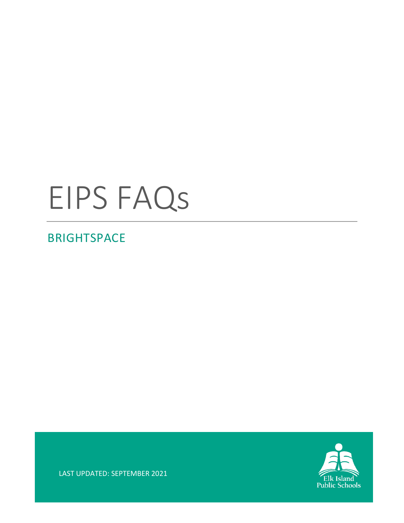# EIPS FAQs

## **BRIGHTSPACE**



LAST UPDATED: SEPTEMBER 2021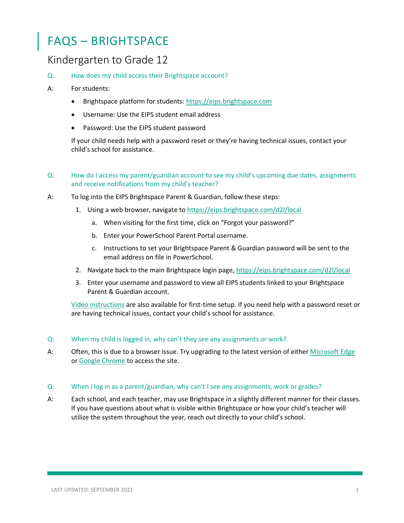## FAQS – BRIGHTSPACE

### Kindergarten to Grade 12

Q: How does my child access their Brightspace account?

#### A: For students:

- Brightspace platform for students: [https://eips.brightspace.com](https://eips.brightspace.com/)
- Username: Use the EIPS student email address
- Password: Use the EIPS student password

If your child needs help with a password reset or they're having technical issues, contact your child's school for assistance.

- Q: How do I access my parent/guardian account to see my child's upcoming due dates, assignments and receive notifications from my child's teacher?
- A: To log into the EIPS Brightspace Parent & Guardian, follow these steps:
	- 1. Using a web browser, navigate to<https://eips.brightspace.com/d2l/local>
		- a. When visiting for the first time, click on "Forgot your password?"
		- b. Enter your PowerSchool Parent Portal username.
		- c. Instructions to set your Brightspace Parent & Guardian password will be sent to the email address on file in PowerSchool.
	- 2. Navigate back to the main Brightspace login page,<https://eips.brightspace.com/d2l/local>
	- 3. Enter your username and password to view all EIPS students linked to your Brightspace Parent & Guardian account.

[Video instructions](https://www.eips.ca/parents/brightspace/brightspace-account) are also available for first-time setup. If you need help with a password reset or are having technical issues, contact your child's school for assistance.

#### Q: When my child is logged in, why can't they see any assignments or work?

- A: Often, this is due to a browser issue. Try upgrading to the latest version of either [Microsoft Edge](https://www.microsoft.com/en-us/edge) or [Google Chrome](https://www.google.com/intl/en_ca/chrome/) to access the site.
- Q: When I log in as a parent/guardian, why can't I see any assignments, work or grades?
- A: Each school, and each teacher, may use Brightspace in a slightly different manner for their classes. If you have questions about what is visible within Brightspace or how your child's teacher will utilize the system throughout the year, reach out directly to your child's school.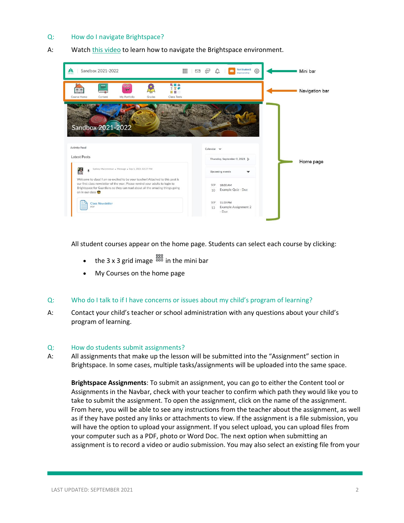#### Q: How do I navigate Brightspace?

A: Watc[h this v](https://eipsca-my.sharepoint.com/:v:/g/personal/sydney_munsterman_eips_ca/EQXjkx4Wv9JGolo_mCXqe0AB6YkqeMNT-qVO1l6U3N5eoA?e=K7PHBQ)ideo to learn how to navigate the Brightspace environment.



All student courses appear on the home page. Students can select each course by clicking:

- the 3 x 3 grid image  $\frac{888}{100}$  in the mini bar
- My Courses on the home page

#### Q: Who do I talk to if I have concerns or issues about my child's program of learning?

A: Contact your child's teacher or school administration with any questions about your child's program of learning.

#### Q: How do students submit assignments?

A: All assignments that make up the lesson will be submitted into the "Assignment" section in Brightspace. In some cases, multiple tasks/assignments will be uploaded into the same space.

**Brightspace Assignments**: To submit an assignment, you can go to either the Content tool or Assignments in the Navbar, check with your teacher to confirm which path they would like you to take to submit the assignment. To open the assignment, click on the name of the assignment. From here, you will be able to see any instructions from the teacher about the assignment, as well as if they have posted any links or attachments to view. If the assignment is a file submission, you will have the option to upload your assignment. If you select upload, you can upload files from your computer such as a PDF, photo or Word Doc. The next option when submitting an assignment is to record a video or audio submission. You may also select an existing file from your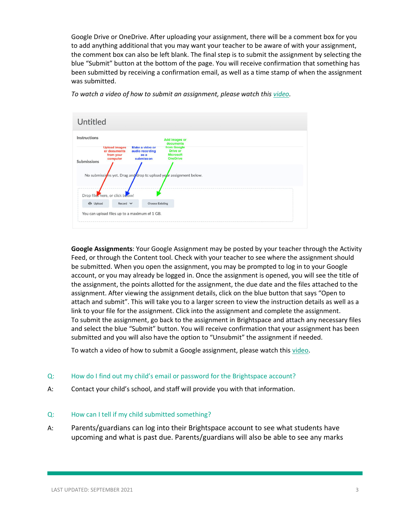Google Drive or OneDrive. After uploading your assignment, there will be a comment box for you to add anything additional that you may want your teacher to be aware of with your assignment, the comment box can also be left blank. The final step is to submit the assignment by selecting the blue "Submit" button at the bottom of the page. You will receive confirmation that something has been submitted by receiving a confirmation email, as well as a time stamp of when the assignment was submitted.



*To watch a video of how to submit an assignment, please watch this [video.](https://drive.google.com/file/d/1CgmSoL8CMbY2BDnRLxst0mqK6VavSvjw/view)*

**Google Assignments**: Your Google Assignment may be posted by your teacher through the Activity Feed, or through the Content tool. Check with your teacher to see where the assignment should be submitted. When you open the assignment, you may be prompted to log in to your Google account, or you may already be logged in. Once the assignment is opened, you will see the title of the assignment, the points allotted for the assignment, the due date and the files attached to the assignment. After viewing the assignment details, click on the blue button that says "Open to attach and submit". This will take you to a larger screen to view the instruction details as well as a link to your file for the assignment. Click into the assignment and complete the assignment. To submit the assignment, go back to the assignment in Brightspace and attach any necessary files and select the blue "Submit" button. You will receive confirmation that your assignment has been submitted and you will also have the option to "Unsubmit" the assignment if needed.

To watch a video of how to submit a Google assignment, please watch this [video.](https://drive.google.com/file/d/1QoD8HW8yniakVPRjBzJnOpr81FseNm26/view)

#### Q: How do I find out my child's email or password for the Brightspace account?

A: Contact your child's school, and staff will provide you with that information.

#### Q: How can I tell if my child submitted something?

A: Parents/guardians can log into their Brightspace account to see what students have upcoming and what is past due. Parents/guardians will also be able to see any marks